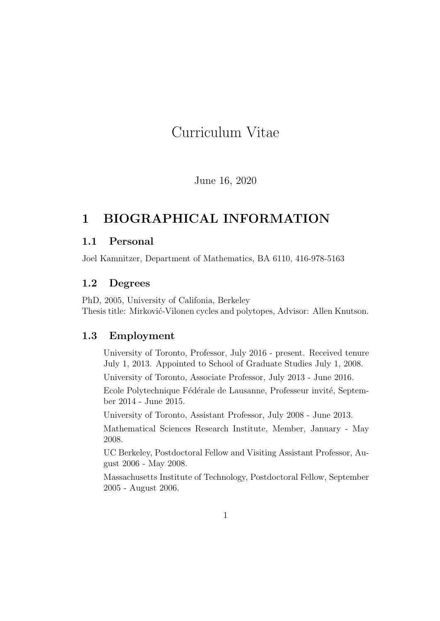# Curriculum Vitae

June 16, 2020

## 1 BIOGRAPHICAL INFORMATION

## 1.1 Personal

Joel Kamnitzer, Department of Mathematics, BA 6110, 416-978-5163

## 1.2 Degrees

PhD, 2005, University of Califonia, Berkeley Thesis title: Mirković-Vilonen cycles and polytopes, Advisor: Allen Knutson.

## 1.3 Employment

University of Toronto, Professor, July 2016 - present. Received tenure July 1, 2013. Appointed to School of Graduate Studies July 1, 2008.

University of Toronto, Associate Professor, July 2013 - June 2016.

Ecole Polytechnique Fédérale de Lausanne, Professeur invité, September 2014 - June 2015.

University of Toronto, Assistant Professor, July 2008 - June 2013.

Mathematical Sciences Research Institute, Member, January - May 2008.

UC Berkeley, Postdoctoral Fellow and Visiting Assistant Professor, August 2006 - May 2008.

Massachusetts Institute of Technology, Postdoctoral Fellow, September 2005 - August 2006.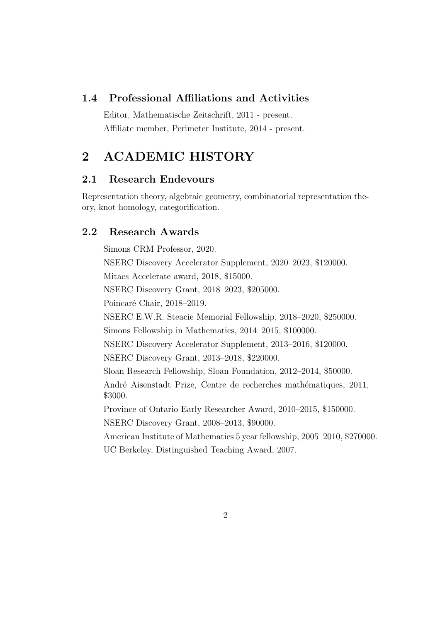## 1.4 Professional Affiliations and Activities

Editor, Mathematische Zeitschrift, 2011 - present. Affiliate member, Perimeter Institute, 2014 - present.

## 2 ACADEMIC HISTORY

## 2.1 Research Endevours

Representation theory, algebraic geometry, combinatorial representation theory, knot homology, categorification.

## 2.2 Research Awards

Simons CRM Professor, 2020. NSERC Discovery Accelerator Supplement, 2020–2023, \$120000. Mitacs Accelerate award, 2018, \$15000. NSERC Discovery Grant, 2018–2023, \$205000. Poincaré Chair, 2018–2019. NSERC E.W.R. Steacie Memorial Fellowship, 2018–2020, \$250000. Simons Fellowship in Mathematics, 2014–2015, \$100000. NSERC Discovery Accelerator Supplement, 2013–2016, \$120000. NSERC Discovery Grant, 2013–2018, \$220000. Sloan Research Fellowship, Sloan Foundation, 2012–2014, \$50000. André Aisenstadt Prize, Centre de recherches mathématiques, 2011, \$3000. Province of Ontario Early Researcher Award, 2010–2015, \$150000. NSERC Discovery Grant, 2008–2013, \$90000. American Institute of Mathematics 5 year fellowship, 2005–2010, \$270000. UC Berkeley, Distinguished Teaching Award, 2007.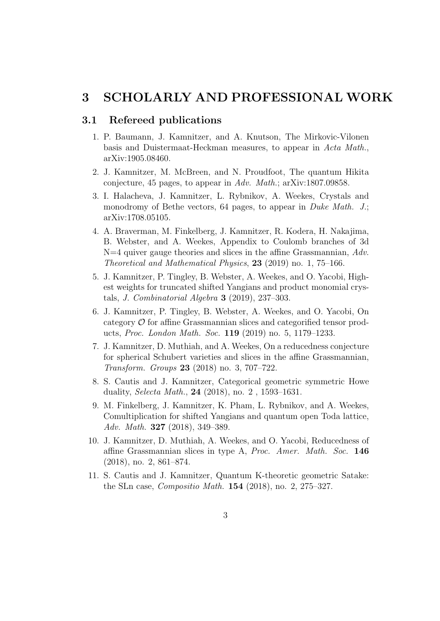## 3 SCHOLARLY AND PROFESSIONAL WORK

### 3.1 Refereed publications

- 1. P. Baumann, J. Kamnitzer, and A. Knutson, The Mirkovic-Vilonen basis and Duistermaat-Heckman measures, to appear in Acta Math., arXiv:1905.08460.
- 2. J. Kamnitzer, M. McBreen, and N. Proudfoot, The quantum Hikita conjecture, 45 pages, to appear in Adv. Math.; arXiv:1807.09858.
- 3. I. Halacheva, J. Kamnitzer, L. Rybnikov, A. Weekes, Crystals and monodromy of Bethe vectors, 64 pages, to appear in *Duke Math. J.*; arXiv:1708.05105.
- 4. A. Braverman, M. Finkelberg, J. Kamnitzer, R. Kodera, H. Nakajima, B. Webster, and A. Weekes, Appendix to Coulomb branches of 3d  $N=4$  quiver gauge theories and slices in the affine Grassmannian,  $Adv.$ Theoretical and Mathematical Physics, 23 (2019) no. 1, 75–166.
- 5. J. Kamnitzer, P. Tingley, B. Webster, A. Weekes, and O. Yacobi, Highest weights for truncated shifted Yangians and product monomial crystals, *J. Combinatorial Algebra* **3** (2019), 237–303.
- 6. J. Kamnitzer, P. Tingley, B. Webster, A. Weekes, and O. Yacobi, On category  $\mathcal O$  for affine Grassmannian slices and categorified tensor products, Proc. London Math. Soc. 119 (2019) no. 5, 1179–1233.
- 7. J. Kamnitzer, D. Muthiah, and A. Weekes, On a reducedness conjecture for spherical Schubert varieties and slices in the affine Grassmannian, Transform. Groups 23 (2018) no. 3, 707–722.
- 8. S. Cautis and J. Kamnitzer, Categorical geometric symmetric Howe duality, Selecta Math., 24 (2018), no. 2 , 1593–1631.
- 9. M. Finkelberg, J. Kamnitzer, K. Pham, L. Rybnikov, and A. Weekes, Comultiplication for shifted Yangians and quantum open Toda lattice, Adv. Math. 327 (2018), 349–389.
- 10. J. Kamnitzer, D. Muthiah, A. Weekes, and O. Yacobi, Reducedness of affine Grassmannian slices in type A, Proc. Amer. Math. Soc. 146 (2018), no. 2, 861–874.
- 11. S. Cautis and J. Kamnitzer, Quantum K-theoretic geometric Satake: the SLn case, Compositio Math. 154 (2018), no. 2, 275–327.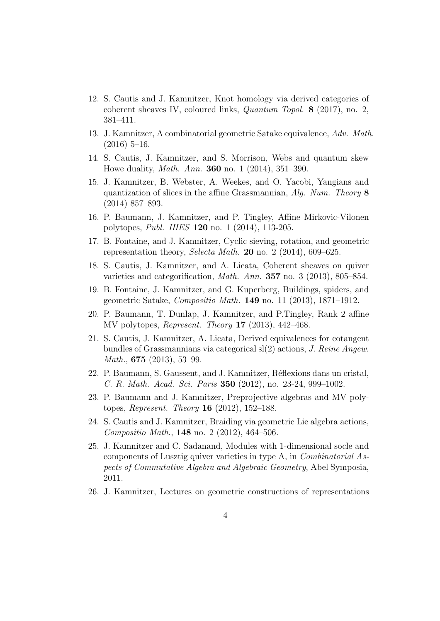- 12. S. Cautis and J. Kamnitzer, Knot homology via derived categories of coherent sheaves IV, coloured links, Quantum Topol. 8 (2017), no. 2, 381–411.
- 13. J. Kamnitzer, A combinatorial geometric Satake equivalence, Adv. Math.  $(2016)$  5–16.
- 14. S. Cautis, J. Kamnitzer, and S. Morrison, Webs and quantum skew Howe duality, Math. Ann. 360 no. 1 (2014), 351–390.
- 15. J. Kamnitzer, B. Webster, A. Weekes, and O. Yacobi, Yangians and quantization of slices in the affine Grassmannian, Alg. Num. Theory 8 (2014) 857–893.
- 16. P. Baumann, J. Kamnitzer, and P. Tingley, Affine Mirkovic-Vilonen polytopes, Publ. IHES 120 no. 1 (2014), 113-205.
- 17. B. Fontaine, and J. Kamnitzer, Cyclic sieving, rotation, and geometric representation theory, Selecta Math. **20** no. 2 (2014), 609–625.
- 18. S. Cautis, J. Kamnitzer, and A. Licata, Coherent sheaves on quiver varieties and categorification, Math. Ann. 357 no. 3 (2013), 805–854.
- 19. B. Fontaine, J. Kamnitzer, and G. Kuperberg, Buildings, spiders, and geometric Satake, Compositio Math. 149 no. 11 (2013), 1871–1912.
- 20. P. Baumann, T. Dunlap, J. Kamnitzer, and P.Tingley, Rank 2 affine MV polytopes, Represent. Theory 17 (2013), 442–468.
- 21. S. Cautis, J. Kamnitzer, A. Licata, Derived equivalences for cotangent bundles of Grassmannians via categorical sl(2) actions, J. Reine Angew. Math., **675** (2013), 53–99.
- 22. P. Baumann, S. Gaussent, and J. Kamnitzer, R´eflexions dans un cristal, C. R. Math. Acad. Sci. Paris 350 (2012), no. 23-24, 999–1002.
- 23. P. Baumann and J. Kamnitzer, Preprojective algebras and MV polytopes, Represent. Theory 16 (2012), 152–188.
- 24. S. Cautis and J. Kamnitzer, Braiding via geometric Lie algebra actions, Compositio Math., 148 no. 2 (2012), 464–506.
- 25. J. Kamnitzer and C. Sadanand, Modules with 1-dimensional socle and components of Lusztig quiver varieties in type A, in Combinatorial Aspects of Commutative Algebra and Algebraic Geometry, Abel Symposia, 2011.
- 26. J. Kamnitzer, Lectures on geometric constructions of representations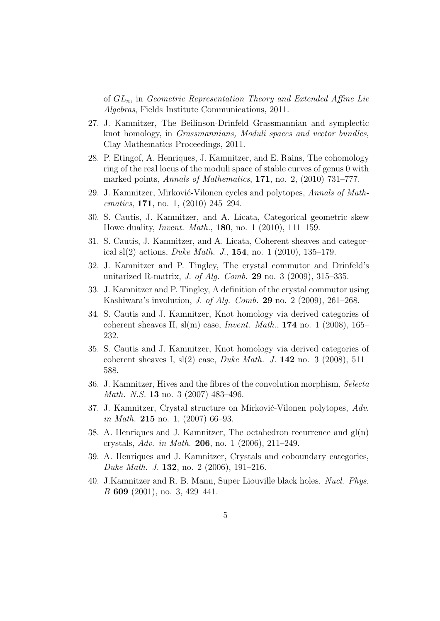of  $GL_n$ , in Geometric Representation Theory and Extended Affine Lie Algebras, Fields Institute Communications, 2011.

- 27. J. Kamnitzer, The Beilinson-Drinfeld Grassmannian and symplectic knot homology, in Grassmannians, Moduli spaces and vector bundles, Clay Mathematics Proceedings, 2011.
- 28. P. Etingof, A. Henriques, J. Kamnitzer, and E. Rains, The cohomology ring of the real locus of the moduli space of stable curves of genus 0 with marked points, Annals of Mathematics, 171, no. 2, (2010) 731–777.
- 29. J. Kamnitzer, Mirković-Vilonen cycles and polytopes, Annals of Mathematics, 171, no. 1,  $(2010)$  245–294.
- 30. S. Cautis, J. Kamnitzer, and A. Licata, Categorical geometric skew Howe duality, Invent. Math., 180, no. 1 (2010), 111–159.
- 31. S. Cautis, J. Kamnitzer, and A. Licata, Coherent sheaves and categorical sl(2) actions, *Duke Math. J.*, **154**, no. 1 (2010), 135–179.
- 32. J. Kamnitzer and P. Tingley, The crystal commutor and Drinfeld's unitarized R-matrix, *J. of Alg. Comb.* **29** no. 3 (2009), 315–335.
- 33. J. Kamnitzer and P. Tingley, A definition of the crystal commutor using Kashiwara's involution, J. of Alg. Comb. 29 no. 2 (2009), 261–268.
- 34. S. Cautis and J. Kamnitzer, Knot homology via derived categories of coherent sheaves II,  $sl(m)$  case, *Invent. Math.*, **174** no. 1 (2008), 165– 232.
- 35. S. Cautis and J. Kamnitzer, Knot homology via derived categories of coherent sheaves I,  $sl(2)$  case, *Duke Math. J.* 142 no. 3 (2008), 511– 588.
- 36. J. Kamnitzer, Hives and the fibres of the convolution morphism, Selecta *Math. N.S.* **13** no. 3 (2007) 483-496.
- 37. J. Kamnitzer, Crystal structure on Mirković-Vilonen polytopes, Adv. in Math. 215 no. 1,  $(2007)$  66–93.
- 38. A. Henriques and J. Kamnitzer, The octahedron recurrence and  $gl(n)$ crystals, Adv. in Math. 206, no. 1 (2006), 211–249.
- 39. A. Henriques and J. Kamnitzer, Crystals and coboundary categories, Duke Math. J. 132, no. 2  $(2006)$ , 191–216.
- 40. J.Kamnitzer and R. B. Mann, Super Liouville black holes. Nucl. Phys. B 609 (2001), no. 3, 429–441.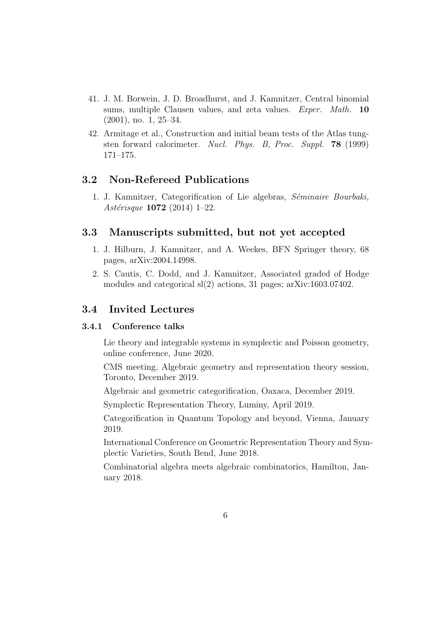- 41. J. M. Borwein, J. D. Broadhurst, and J. Kamnitzer, Central binomial sums, multiple Clausen values, and zeta values. *Exper. Math.* 10 (2001), no. 1, 25–34.
- 42. Armitage et al., Construction and initial beam tests of the Atlas tungsten forward calorimeter. Nucl. Phys. B, Proc. Suppl. 78 (1999) 171–175.

### 3.2 Non-Refereed Publications

1. J. Kamnitzer, Categorification of Lie algebras, Séminaire Bourbaki, Astérisque  $1072$  (2014) 1–22.

## 3.3 Manuscripts submitted, but not yet accepted

- 1. J. Hilburn, J. Kamnitzer, and A. Weekes, BFN Springer theory, 68 pages, arXiv:2004.14998.
- 2. S. Cautis, C. Dodd, and J. Kamnitzer, Associated graded of Hodge modules and categorical sl(2) actions, 31 pages; arXiv:1603.07402.

### 3.4 Invited Lectures

### 3.4.1 Conference talks

Lie theory and integrable systems in symplectic and Poisson geometry, online conference, June 2020.

CMS meeting, Algebraic geometry and representation theory session, Toronto, December 2019.

Algebraic and geometric categorification, Oaxaca, December 2019.

Symplectic Representation Theory, Luminy, April 2019.

Categorification in Quantum Topology and beyond, Vienna, January 2019.

International Conference on Geometric Representation Theory and Symplectic Varieties, South Bend, June 2018.

Combinatorial algebra meets algebraic combinatorics, Hamilton, January 2018.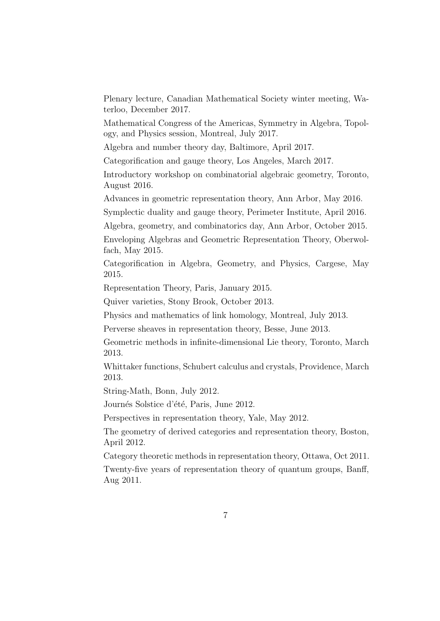Plenary lecture, Canadian Mathematical Society winter meeting, Waterloo, December 2017.

Mathematical Congress of the Americas, Symmetry in Algebra, Topology, and Physics session, Montreal, July 2017.

Algebra and number theory day, Baltimore, April 2017.

Categorification and gauge theory, Los Angeles, March 2017.

Introductory workshop on combinatorial algebraic geometry, Toronto, August 2016.

Advances in geometric representation theory, Ann Arbor, May 2016.

Symplectic duality and gauge theory, Perimeter Institute, April 2016.

Algebra, geometry, and combinatorics day, Ann Arbor, October 2015.

Enveloping Algebras and Geometric Representation Theory, Oberwolfach, May 2015.

Categorification in Algebra, Geometry, and Physics, Cargese, May 2015.

Representation Theory, Paris, January 2015.

Quiver varieties, Stony Brook, October 2013.

Physics and mathematics of link homology, Montreal, July 2013.

Perverse sheaves in representation theory, Besse, June 2013.

Geometric methods in infinite-dimensional Lie theory, Toronto, March 2013.

Whittaker functions, Schubert calculus and crystals, Providence, March 2013.

String-Math, Bonn, July 2012.

Journés Solstice d'été, Paris, June 2012.

Perspectives in representation theory, Yale, May 2012.

The geometry of derived categories and representation theory, Boston, April 2012.

Category theoretic methods in representation theory, Ottawa, Oct 2011. Twenty-five years of representation theory of quantum groups, Banff, Aug 2011.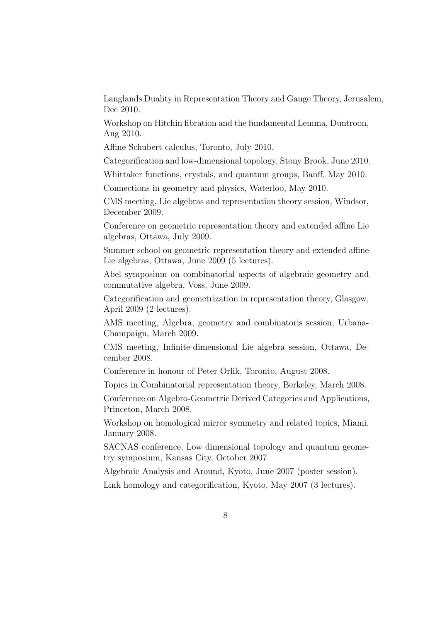Langlands Duality in Representation Theory and Gauge Theory, Jerusalem, Dec 2010.

Workshop on Hitchin fibration and the fundamental Lemma, Duntroon, Aug 2010.

Affine Schubert calculus, Toronto, July 2010.

Categorification and low-dimensional topology, Stony Brook, June 2010.

Whittaker functions, crystals, and quantum groups, Banff, May 2010.

Connections in geometry and physics, Waterloo, May 2010.

CMS meeting, Lie algebras and representation theory session, Windsor, December 2009.

Conference on geometric representation theory and extended affine Lie algebras, Ottawa, July 2009.

Summer school on geometric representation theory and extended affine Lie algebras, Ottawa, June 2009 (5 lectures).

Abel symposium on combinatorial aspects of algebraic geometry and commutative algebra, Voss, June 2009.

Categorification and geometrization in representation theory, Glasgow, April 2009 (2 lectures).

AMS meeting, Algebra, geometry and combinatoris session, Urbana-Champaign, March 2009.

CMS meeting, Infinite-dimensional Lie algebra session, Ottawa, December 2008.

Conference in honour of Peter Orlik, Toronto, August 2008.

Topics in Combinatorial representation theory, Berkeley, March 2008.

Conference on Algebro-Geometric Derived Categories and Applications, Princeton, March 2008.

Workshop on homological mirror symmetry and related topics, Miami, January 2008.

SACNAS conference, Low dimensional topology and quantum geometry symposium, Kansas City, October 2007.

Algebraic Analysis and Around, Kyoto, June 2007 (poster session). Link homology and categorification, Kyoto, May 2007 (3 lectures).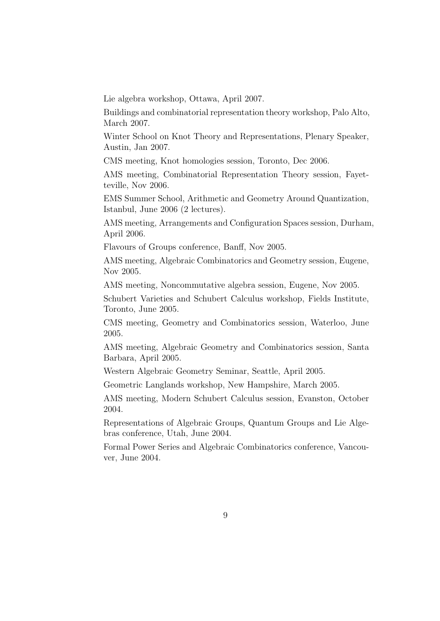Lie algebra workshop, Ottawa, April 2007.

Buildings and combinatorial representation theory workshop, Palo Alto, March 2007.

Winter School on Knot Theory and Representations, Plenary Speaker, Austin, Jan 2007.

CMS meeting, Knot homologies session, Toronto, Dec 2006.

AMS meeting, Combinatorial Representation Theory session, Fayetteville, Nov 2006.

EMS Summer School, Arithmetic and Geometry Around Quantization, Istanbul, June 2006 (2 lectures).

AMS meeting, Arrangements and Configuration Spaces session, Durham, April 2006.

Flavours of Groups conference, Banff, Nov 2005.

AMS meeting, Algebraic Combinatorics and Geometry session, Eugene, Nov 2005.

AMS meeting, Noncommutative algebra session, Eugene, Nov 2005.

Schubert Varieties and Schubert Calculus workshop, Fields Institute, Toronto, June 2005.

CMS meeting, Geometry and Combinatorics session, Waterloo, June 2005.

AMS meeting, Algebraic Geometry and Combinatorics session, Santa Barbara, April 2005.

Western Algebraic Geometry Seminar, Seattle, April 2005.

Geometric Langlands workshop, New Hampshire, March 2005.

AMS meeting, Modern Schubert Calculus session, Evanston, October 2004.

Representations of Algebraic Groups, Quantum Groups and Lie Algebras conference, Utah, June 2004.

Formal Power Series and Algebraic Combinatorics conference, Vancouver, June 2004.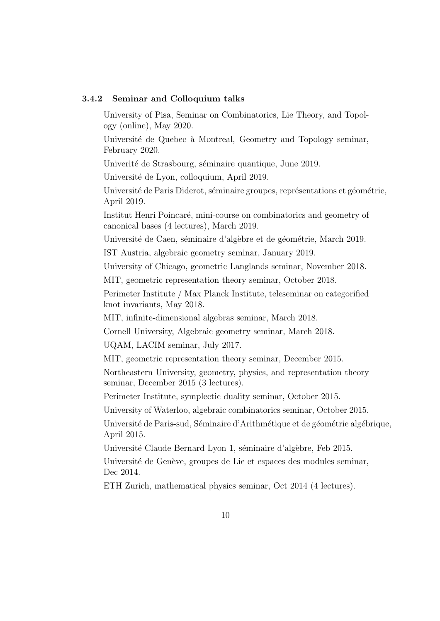#### 3.4.2 Seminar and Colloquium talks

University of Pisa, Seminar on Combinatorics, Lie Theory, and Topology (online), May 2020.

Université de Quebec à Montreal, Geometry and Topology seminar, February 2020.

Univerité de Strasbourg, séminaire quantique, June 2019.

Université de Lyon, colloquium, April 2019.

Université de Paris Diderot, séminaire groupes, représentations et géométrie, April 2019.

Institut Henri Poincaré, mini-course on combinatorics and geometry of canonical bases (4 lectures), March 2019.

Université de Caen, séminaire d'algèbre et de géométrie, March 2019.

IST Austria, algebraic geometry seminar, January 2019.

University of Chicago, geometric Langlands seminar, November 2018.

MIT, geometric representation theory seminar, October 2018.

Perimeter Institute / Max Planck Institute, teleseminar on categorified knot invariants, May 2018.

MIT, infinite-dimensional algebras seminar, March 2018.

Cornell University, Algebraic geometry seminar, March 2018.

UQAM, LACIM seminar, July 2017.

MIT, geometric representation theory seminar, December 2015.

Northeastern University, geometry, physics, and representation theory seminar, December 2015 (3 lectures).

Perimeter Institute, symplectic duality seminar, October 2015.

University of Waterloo, algebraic combinatorics seminar, October 2015.

Université de Paris-sud, Séminaire d'Arithmétique et de géométrie algébrique, April 2015.

Université Claude Bernard Lyon 1, séminaire d'algèbre, Feb 2015.

Université de Genève, groupes de Lie et espaces des modules seminar, Dec 2014.

ETH Zurich, mathematical physics seminar, Oct 2014 (4 lectures).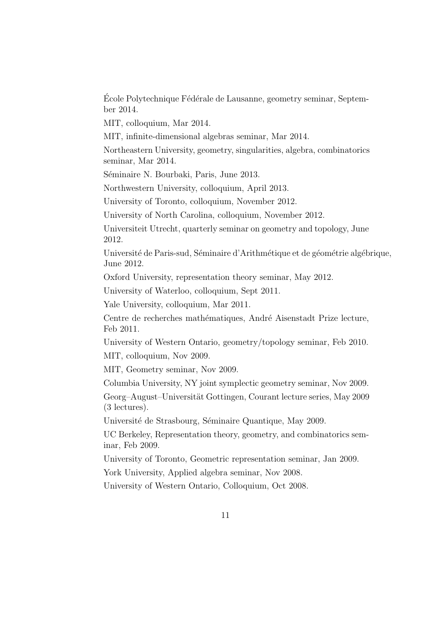Ecole Polytechnique Fédérale de Lausanne, geometry seminar, September 2014.

MIT, colloquium, Mar 2014.

MIT, infinite-dimensional algebras seminar, Mar 2014.

Northeastern University, geometry, singularities, algebra, combinatorics seminar, Mar 2014.

Séminaire N. Bourbaki, Paris, June 2013.

Northwestern University, colloquium, April 2013.

University of Toronto, colloquium, November 2012.

University of North Carolina, colloquium, November 2012.

Universiteit Utrecht, quarterly seminar on geometry and topology, June 2012.

Université de Paris-sud, Séminaire d'Arithmétique et de géométrie algébrique, June 2012.

Oxford University, representation theory seminar, May 2012.

University of Waterloo, colloquium, Sept 2011.

Yale University, colloquium, Mar 2011.

Centre de recherches mathématiques, André Aisenstadt Prize lecture, Feb 2011.

University of Western Ontario, geometry/topology seminar, Feb 2010.

MIT, colloquium, Nov 2009.

MIT, Geometry seminar, Nov 2009.

Columbia University, NY joint symplectic geometry seminar, Nov 2009.

Georg–August–Universität Gottingen, Courant lecture series, May 2009 (3 lectures).

Université de Strasbourg, Séminaire Quantique, May 2009.

UC Berkeley, Representation theory, geometry, and combinatorics seminar, Feb 2009.

University of Toronto, Geometric representation seminar, Jan 2009.

York University, Applied algebra seminar, Nov 2008.

University of Western Ontario, Colloquium, Oct 2008.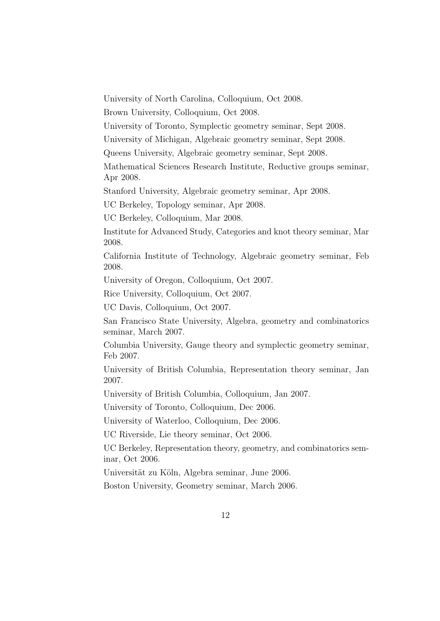University of North Carolina, Colloquium, Oct 2008.

Brown University, Colloquium, Oct 2008.

University of Toronto, Symplectic geometry seminar, Sept 2008.

University of Michigan, Algebraic geometry seminar, Sept 2008.

Queens University, Algebraic geometry seminar, Sept 2008.

Mathematical Sciences Research Institute, Reductive groups seminar, Apr 2008.

Stanford University, Algebraic geometry seminar, Apr 2008.

UC Berkeley, Topology seminar, Apr 2008.

UC Berkeley, Colloquium, Mar 2008.

Institute for Advanced Study, Categories and knot theory seminar, Mar 2008.

California Institute of Technology, Algebraic geometry seminar, Feb 2008.

University of Oregon, Colloquium, Oct 2007.

Rice University, Colloquium, Oct 2007.

UC Davis, Colloquium, Oct 2007.

San Francisco State University, Algebra, geometry and combinatorics seminar, March 2007.

Columbia University, Gauge theory and symplectic geometry seminar, Feb 2007.

University of British Columbia, Representation theory seminar, Jan 2007.

University of British Columbia, Colloquium, Jan 2007.

University of Toronto, Colloquium, Dec 2006.

University of Waterloo, Colloquium, Dec 2006.

UC Riverside, Lie theory seminar, Oct 2006.

UC Berkeley, Representation theory, geometry, and combinatorics seminar, Oct 2006.

Universität zu Köln, Algebra seminar, June 2006.

Boston University, Geometry seminar, March 2006.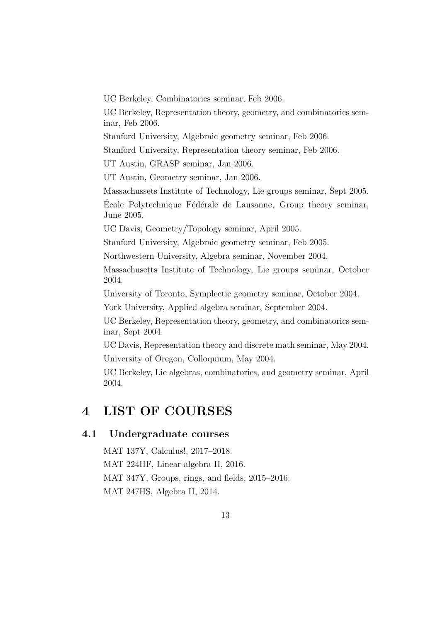UC Berkeley, Combinatorics seminar, Feb 2006.

UC Berkeley, Representation theory, geometry, and combinatorics seminar, Feb 2006.

Stanford University, Algebraic geometry seminar, Feb 2006.

Stanford University, Representation theory seminar, Feb 2006.

UT Austin, GRASP seminar, Jan 2006.

UT Austin, Geometry seminar, Jan 2006.

Massachussets Institute of Technology, Lie groups seminar, Sept 2005.

Ecole Polytechnique Fédérale de Lausanne, Group theory seminar, June 2005.

UC Davis, Geometry/Topology seminar, April 2005.

Stanford University, Algebraic geometry seminar, Feb 2005.

Northwestern University, Algebra seminar, November 2004.

Massachusetts Institute of Technology, Lie groups seminar, October 2004.

University of Toronto, Symplectic geometry seminar, October 2004.

York University, Applied algebra seminar, September 2004.

UC Berkeley, Representation theory, geometry, and combinatorics seminar, Sept 2004.

UC Davis, Representation theory and discrete math seminar, May 2004. University of Oregon, Colloquium, May 2004.

UC Berkeley, Lie algebras, combinatorics, and geometry seminar, April 2004.

## 4 LIST OF COURSES

### 4.1 Undergraduate courses

MAT 137Y, Calculus!, 2017–2018. MAT 224HF, Linear algebra II, 2016. MAT 347Y, Groups, rings, and fields, 2015–2016. MAT 247HS, Algebra II, 2014.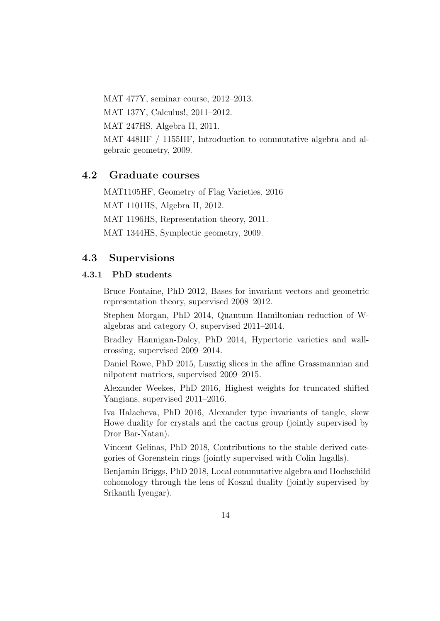MAT 477Y, seminar course, 2012–2013.

MAT 137Y, Calculus!, 2011–2012.

MAT 247HS, Algebra II, 2011.

MAT 448HF / 1155HF, Introduction to commutative algebra and algebraic geometry, 2009.

## 4.2 Graduate courses

MAT1105HF, Geometry of Flag Varieties, 2016 MAT 1101HS, Algebra II, 2012. MAT 1196HS, Representation theory, 2011.

MAT 1344HS, Symplectic geometry, 2009.

### 4.3 Supervisions

### 4.3.1 PhD students

Bruce Fontaine, PhD 2012, Bases for invariant vectors and geometric representation theory, supervised 2008–2012.

Stephen Morgan, PhD 2014, Quantum Hamiltonian reduction of Walgebras and category O, supervised 2011–2014.

Bradley Hannigan-Daley, PhD 2014, Hypertoric varieties and wallcrossing, supervised 2009–2014.

Daniel Rowe, PhD 2015, Lusztig slices in the affine Grassmannian and nilpotent matrices, supervised 2009–2015.

Alexander Weekes, PhD 2016, Highest weights for truncated shifted Yangians, supervised 2011–2016.

Iva Halacheva, PhD 2016, Alexander type invariants of tangle, skew Howe duality for crystals and the cactus group (jointly supervised by Dror Bar-Natan).

Vincent Gelinas, PhD 2018, Contributions to the stable derived categories of Gorenstein rings (jointly supervised with Colin Ingalls).

Benjamin Briggs, PhD 2018, Local commutative algebra and Hochschild cohomology through the lens of Koszul duality (jointly supervised by Srikanth Iyengar).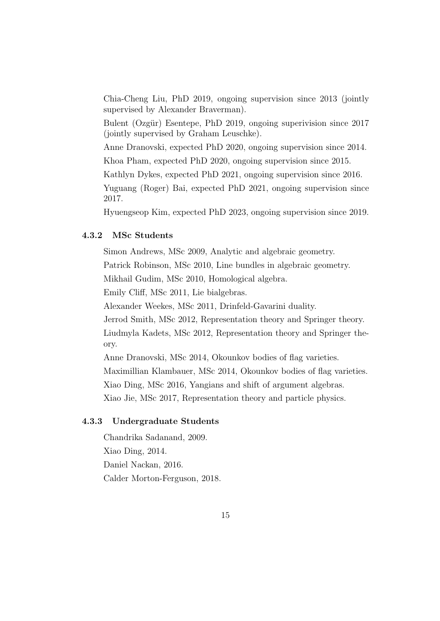Chia-Cheng Liu, PhD 2019, ongoing supervision since 2013 (jointly supervised by Alexander Braverman).

Bulent (Ozgür) Esentepe, PhD 2019, ongoing superivision since 2017 (jointly supervised by Graham Leuschke).

Anne Dranovski, expected PhD 2020, ongoing supervision since 2014.

Khoa Pham, expected PhD 2020, ongoing supervision since 2015.

Kathlyn Dykes, expected PhD 2021, ongoing supervision since 2016.

Yuguang (Roger) Bai, expected PhD 2021, ongoing supervision since 2017.

Hyuengseop Kim, expected PhD 2023, ongoing supervision since 2019.

#### 4.3.2 MSc Students

Simon Andrews, MSc 2009, Analytic and algebraic geometry.

Patrick Robinson, MSc 2010, Line bundles in algebraic geometry.

Mikhail Gudim, MSc 2010, Homological algebra.

Emily Cliff, MSc 2011, Lie bialgebras.

Alexander Weekes, MSc 2011, Drinfeld-Gavarini duality.

Jerrod Smith, MSc 2012, Representation theory and Springer theory.

Liudmyla Kadets, MSc 2012, Representation theory and Springer theory.

Anne Dranovski, MSc 2014, Okounkov bodies of flag varieties. Maximillian Klambauer, MSc 2014, Okounkov bodies of flag varieties. Xiao Ding, MSc 2016, Yangians and shift of argument algebras.

Xiao Jie, MSc 2017, Representation theory and particle physics.

#### 4.3.3 Undergraduate Students

Chandrika Sadanand, 2009.

Xiao Ding, 2014.

Daniel Nackan, 2016.

Calder Morton-Ferguson, 2018.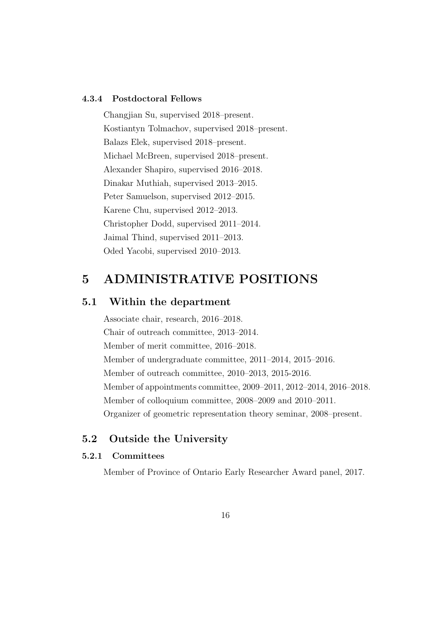### 4.3.4 Postdoctoral Fellows

Changjian Su, supervised 2018–present. Kostiantyn Tolmachov, supervised 2018–present. Balazs Elek, supervised 2018–present. Michael McBreen, supervised 2018–present. Alexander Shapiro, supervised 2016–2018. Dinakar Muthiah, supervised 2013–2015. Peter Samuelson, supervised 2012–2015. Karene Chu, supervised 2012–2013. Christopher Dodd, supervised 2011–2014. Jaimal Thind, supervised 2011–2013. Oded Yacobi, supervised 2010–2013.

## 5 ADMINISTRATIVE POSITIONS

### 5.1 Within the department

Associate chair, research, 2016–2018. Chair of outreach committee, 2013–2014. Member of merit committee, 2016–2018. Member of undergraduate committee, 2011–2014, 2015–2016. Member of outreach committee, 2010–2013, 2015-2016. Member of appointments committee, 2009–2011, 2012–2014, 2016–2018. Member of colloquium committee, 2008–2009 and 2010–2011. Organizer of geometric representation theory seminar, 2008–present.

### 5.2 Outside the University

### 5.2.1 Committees

Member of Province of Ontario Early Researcher Award panel, 2017.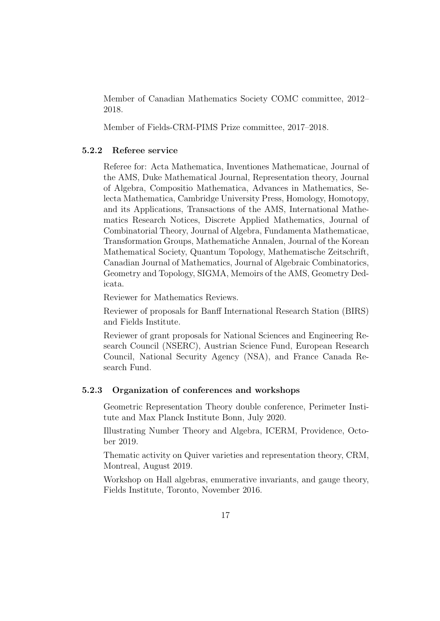Member of Canadian Mathematics Society COMC committee, 2012– 2018.

Member of Fields-CRM-PIMS Prize committee, 2017–2018.

### 5.2.2 Referee service

Referee for: Acta Mathematica, Inventiones Mathematicae, Journal of the AMS, Duke Mathematical Journal, Representation theory, Journal of Algebra, Compositio Mathematica, Advances in Mathematics, Selecta Mathematica, Cambridge University Press, Homology, Homotopy, and its Applications, Transactions of the AMS, International Mathematics Research Notices, Discrete Applied Mathematics, Journal of Combinatorial Theory, Journal of Algebra, Fundamenta Mathematicae, Transformation Groups, Mathematiche Annalen, Journal of the Korean Mathematical Society, Quantum Topology, Mathematische Zeitschrift, Canadian Journal of Mathematics, Journal of Algebraic Combinatorics, Geometry and Topology, SIGMA, Memoirs of the AMS, Geometry Dedicata.

Reviewer for Mathematics Reviews.

Reviewer of proposals for Banff International Research Station (BIRS) and Fields Institute.

Reviewer of grant proposals for National Sciences and Engineering Research Council (NSERC), Austrian Science Fund, European Research Council, National Security Agency (NSA), and France Canada Research Fund.

#### 5.2.3 Organization of conferences and workshops

Geometric Representation Theory double conference, Perimeter Institute and Max Planck Institute Bonn, July 2020.

Illustrating Number Theory and Algebra, ICERM, Providence, October 2019.

Thematic activity on Quiver varieties and representation theory, CRM, Montreal, August 2019.

Workshop on Hall algebras, enumerative invariants, and gauge theory, Fields Institute, Toronto, November 2016.